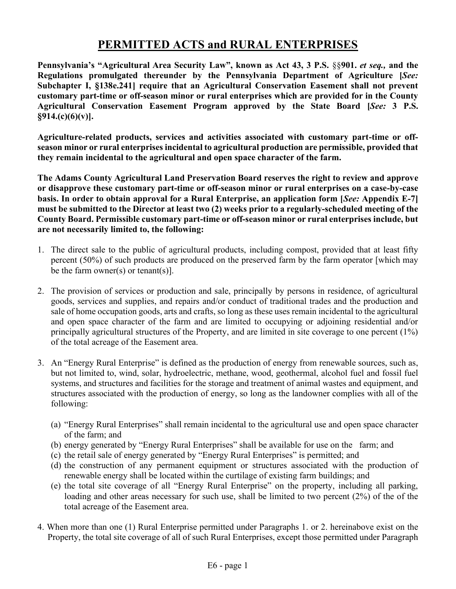## **PERMITTED ACTS and RURAL ENTERPRISES**

**Pennsylvania's "Agricultural Area Security Law", known as Act 43, 3 P.S.** §§**901.** *et seq.,* **and the Regulations promulgated thereunder by the Pennsylvania Department of Agriculture [***See:* **Subchapter I, §138e.241] require that an Agricultural Conservation Easement shall not prevent customary part-time or off-season minor or rural enterprises which are provided for in the County Agricultural Conservation Easement Program approved by the State Board [***See:* **3 P.S. §914.(c)(6)(v)].**

**Agriculture-related products, services and activities associated with customary part-time or offseason minor or rural enterprises incidental to agricultural production are permissible, provided that they remain incidental to the agricultural and open space character of the farm.**

**The Adams County Agricultural Land Preservation Board reserves the right to review and approve or disapprove these customary part-time or off-season minor or rural enterprises on a case-by-case basis. In order to obtain approval for a Rural Enterprise, an application form [***See:* **Appendix E-7] must be submitted to the Director at least two (2) weeks prior to a regularly-scheduled meeting of the County Board. Permissible customary part-time or off-season minor or rural enterprises include, but are not necessarily limited to, the following:** 

- 1. The direct sale to the public of agricultural products, including compost, provided that at least fifty percent (50%) of such products are produced on the preserved farm by the farm operator [which may be the farm owner(s) or tenant(s)].
- 2. The provision of services or production and sale, principally by persons in residence, of agricultural goods, services and supplies, and repairs and/or conduct of traditional trades and the production and sale of home occupation goods, arts and crafts, so long as these uses remain incidental to the agricultural and open space character of the farm and are limited to occupying or adjoining residential and/or principally agricultural structures of the Property, and are limited in site coverage to one percent (1%) of the total acreage of the Easement area.
- 3. An "Energy Rural Enterprise" is defined as the production of energy from renewable sources, such as, but not limited to, wind, solar, hydroelectric, methane, wood, geothermal, alcohol fuel and fossil fuel systems, and structures and facilities for the storage and treatment of animal wastes and equipment, and structures associated with the production of energy, so long as the landowner complies with all of the following:
	- (a) "Energy Rural Enterprises" shall remain incidental to the agricultural use and open space character of the farm; and
	- (b) energy generated by "Energy Rural Enterprises" shall be available for use on the farm; and
	- (c) the retail sale of energy generated by "Energy Rural Enterprises" is permitted; and
	- (d) the construction of any permanent equipment or structures associated with the production of renewable energy shall be located within the curtilage of existing farm buildings; and
	- (e) the total site coverage of all "Energy Rural Enterprise" on the property, including all parking, loading and other areas necessary for such use, shall be limited to two percent (2%) of the of the total acreage of the Easement area.
- 4. When more than one (1) Rural Enterprise permitted under Paragraphs 1. or 2. hereinabove exist on the Property, the total site coverage of all of such Rural Enterprises, except those permitted under Paragraph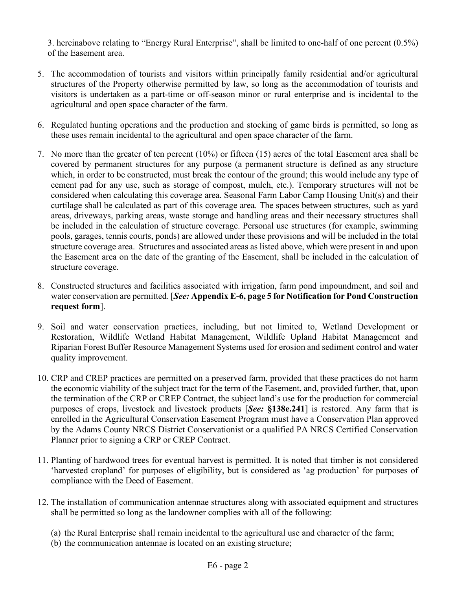3. hereinabove relating to "Energy Rural Enterprise", shall be limited to one-half of one percent (0.5%) of the Easement area.

- 5. The accommodation of tourists and visitors within principally family residential and/or agricultural structures of the Property otherwise permitted by law, so long as the accommodation of tourists and visitors is undertaken as a part-time or off-season minor or rural enterprise and is incidental to the agricultural and open space character of the farm.
- 6. Regulated hunting operations and the production and stocking of game birds is permitted, so long as these uses remain incidental to the agricultural and open space character of the farm.
- 7. No more than the greater of ten percent (10%) or fifteen (15) acres of the total Easement area shall be covered by permanent structures for any purpose (a permanent structure is defined as any structure which, in order to be constructed, must break the contour of the ground; this would include any type of cement pad for any use, such as storage of compost, mulch, etc.). Temporary structures will not be considered when calculating this coverage area. Seasonal Farm Labor Camp Housing Unit(s) and their curtilage shall be calculated as part of this coverage area. The spaces between structures, such as yard areas, driveways, parking areas, waste storage and handling areas and their necessary structures shall be included in the calculation of structure coverage. Personal use structures (for example, swimming pools, garages, tennis courts, ponds) are allowed under these provisions and will be included in the total structure coverage area. Structures and associated areas as listed above, which were present in and upon the Easement area on the date of the granting of the Easement, shall be included in the calculation of structure coverage.
- 8. Constructed structures and facilities associated with irrigation, farm pond impoundment, and soil and water conservation are permitted. [*See:* **Appendix E-6, page 5 for Notification for Pond Construction request form**].
- 9. Soil and water conservation practices, including, but not limited to, Wetland Development or Restoration, Wildlife Wetland Habitat Management, Wildlife Upland Habitat Management and Riparian Forest Buffer Resource Management Systems used for erosion and sediment control and water quality improvement.
- 10. CRP and CREP practices are permitted on a preserved farm, provided that these practices do not harm the economic viability of the subject tract for the term of the Easement, and, provided further, that, upon the termination of the CRP or CREP Contract, the subject land's use for the production for commercial purposes of crops, livestock and livestock products [*See:* **§138e.241**] is restored. Any farm that is enrolled in the Agricultural Conservation Easement Program must have a Conservation Plan approved by the Adams County NRCS District Conservationist or a qualified PA NRCS Certified Conservation Planner prior to signing a CRP or CREP Contract.
- 11. Planting of hardwood trees for eventual harvest is permitted. It is noted that timber is not considered 'harvested cropland' for purposes of eligibility, but is considered as 'ag production' for purposes of compliance with the Deed of Easement.
- 12. The installation of communication antennae structures along with associated equipment and structures shall be permitted so long as the landowner complies with all of the following:
	- (a) the Rural Enterprise shall remain incidental to the agricultural use and character of the farm;
	- (b) the communication antennae is located on an existing structure;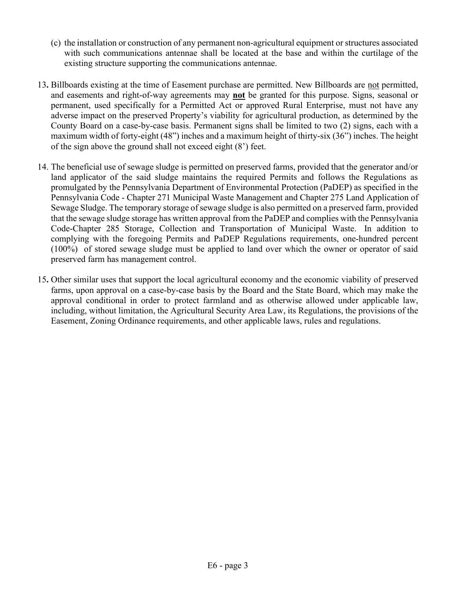- (c) the installation or construction of any permanent non-agricultural equipment or structures associated with such communications antennae shall be located at the base and within the curtilage of the existing structure supporting the communications antennae.
- 13**.** Billboards existing at the time of Easement purchase are permitted. New Billboards are not permitted, and easements and right-of-way agreements may **not** be granted for this purpose. Signs, seasonal or permanent, used specifically for a Permitted Act or approved Rural Enterprise, must not have any adverse impact on the preserved Property's viability for agricultural production, as determined by the County Board on a case-by-case basis. Permanent signs shall be limited to two (2) signs, each with a maximum width of forty-eight (48") inches and a maximum height of thirty-six (36") inches. The height of the sign above the ground shall not exceed eight (8') feet.
- 14. The beneficial use of sewage sludge is permitted on preserved farms, provided that the generator and/or land applicator of the said sludge maintains the required Permits and follows the Regulations as promulgated by the Pennsylvania Department of Environmental Protection (PaDEP) as specified in the Pennsylvania Code - Chapter 271 Municipal Waste Management and Chapter 275 Land Application of Sewage Sludge. The temporary storage of sewage sludge is also permitted on a preserved farm, provided that the sewage sludge storage has written approval from the PaDEP and complies with the Pennsylvania Code-Chapter 285 Storage, Collection and Transportation of Municipal Waste. In addition to complying with the foregoing Permits and PaDEP Regulations requirements, one-hundred percent (100%) of stored sewage sludge must be applied to land over which the owner or operator of said preserved farm has management control.
- 15**.** Other similar uses that support the local agricultural economy and the economic viability of preserved farms, upon approval on a case-by-case basis by the Board and the State Board, which may make the approval conditional in order to protect farmland and as otherwise allowed under applicable law, including, without limitation, the Agricultural Security Area Law, its Regulations, the provisions of the Easement, Zoning Ordinance requirements, and other applicable laws, rules and regulations.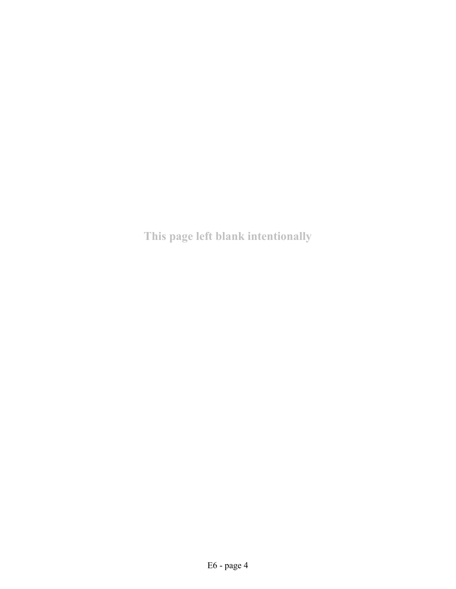**This page left blank intentionally**